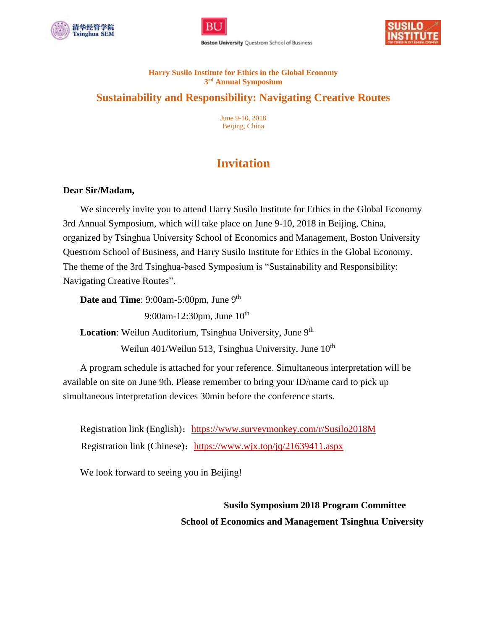





#### **Harry Susilo Institute for Ethics in the Global Economy 3 rd Annual Symposium**

## **Sustainability and Responsibility: Navigating Creative Routes**

June 9-10, 2018 Beijing, China

# **Invitation**

## **Dear Sir/Madam,**

We sincerely invite you to attend Harry Susilo Institute for Ethics in the Global Economy 3rd Annual Symposium, which will take place on June 9-10, 2018 in Beijing, China, organized by Tsinghua University School of Economics and Management, Boston University Questrom School of Business, and Harry Susilo Institute for Ethics in the Global Economy. The theme of the 3rd Tsinghua-based Symposium is "Sustainability and Responsibility: Navigating Creative Routes".

Date and Time: 9:00am-5:00pm, June 9<sup>th</sup>

9:00am-12:30pm, June 10<sup>th</sup>

Location: Weilun Auditorium, Tsinghua University, June 9<sup>th</sup>

Weilun 401/Weilun 513, Tsinghua University, June  $10^{th}$ 

A program schedule is attached for your reference. Simultaneous interpretation will be available on site on June 9th. Please remember to bring your ID/name card to pick up simultaneous interpretation devices 30min before the conference starts.

Registration link (English): <https://www.surveymonkey.com/r/Susilo2018M> Registration link (Chinese): <https://www.wjx.top/jq/21639411.aspx>

We look forward to seeing you in Beijing!

 **Susilo Symposium 2018 Program Committee School of Economics and Management Tsinghua University**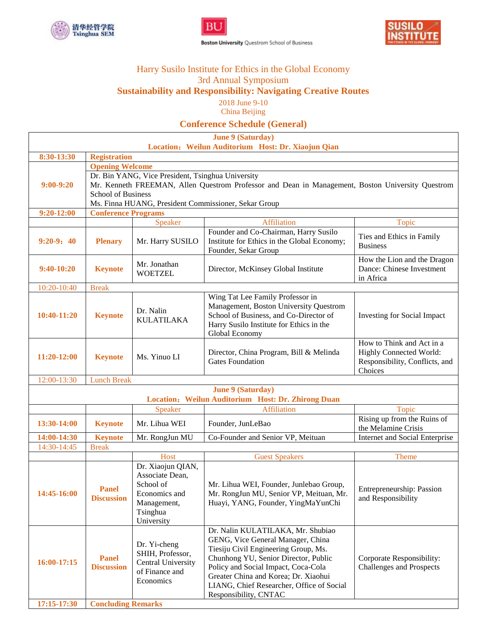

 $\overline{1}$ 





## Harry Susilo Institute for Ethics in the Global Economy 3rd Annual Symposium **Sustainability and Responsibility: Navigating Creative Routes**

2018 June 9-10 China Beijing

**Conference Schedule (General)**

**June 9 (Saturday)** 

|                            |                                                                                                                                                                                                                                            |                                                                                                             | Julie 9 (Saturuay)<br>Location: Weilun Auditorium Host: Dr. Xiaojun Qian                                                                                                                                                                                                                                    |                                                                                                          |  |  |  |
|----------------------------|--------------------------------------------------------------------------------------------------------------------------------------------------------------------------------------------------------------------------------------------|-------------------------------------------------------------------------------------------------------------|-------------------------------------------------------------------------------------------------------------------------------------------------------------------------------------------------------------------------------------------------------------------------------------------------------------|----------------------------------------------------------------------------------------------------------|--|--|--|
| 8:30-13:30                 | <b>Registration</b>                                                                                                                                                                                                                        |                                                                                                             |                                                                                                                                                                                                                                                                                                             |                                                                                                          |  |  |  |
|                            | <b>Opening Welcome</b>                                                                                                                                                                                                                     |                                                                                                             |                                                                                                                                                                                                                                                                                                             |                                                                                                          |  |  |  |
| $9:00-9:20$                | Dr. Bin YANG, Vice President, Tsinghua University<br>Mr. Kenneth FREEMAN, Allen Questrom Professor and Dean in Management, Boston University Questrom<br><b>School of Business</b><br>Ms. Finna HUANG, President Commissioner, Sekar Group |                                                                                                             |                                                                                                                                                                                                                                                                                                             |                                                                                                          |  |  |  |
| $9:20 - 12:00$             | <b>Conference Programs</b>                                                                                                                                                                                                                 |                                                                                                             |                                                                                                                                                                                                                                                                                                             |                                                                                                          |  |  |  |
|                            |                                                                                                                                                                                                                                            | Speaker                                                                                                     | Affiliation                                                                                                                                                                                                                                                                                                 | Topic                                                                                                    |  |  |  |
| $9:20-9:40$                | <b>Plenary</b>                                                                                                                                                                                                                             | Mr. Harry SUSILO                                                                                            | Founder and Co-Chairman, Harry Susilo<br>Institute for Ethics in the Global Economy;<br>Founder, Sekar Group                                                                                                                                                                                                | Ties and Ethics in Family<br><b>Business</b>                                                             |  |  |  |
| $9:40-10:20$               | <b>Keynote</b>                                                                                                                                                                                                                             | Mr. Jonathan<br><b>WOETZEL</b>                                                                              | How the Lion and the Dragon<br>Dance: Chinese Investment<br>Director, McKinsey Global Institute<br>in Africa                                                                                                                                                                                                |                                                                                                          |  |  |  |
| 10:20-10:40                | <b>Break</b>                                                                                                                                                                                                                               |                                                                                                             |                                                                                                                                                                                                                                                                                                             |                                                                                                          |  |  |  |
| 10:40-11:20                | <b>Keynote</b>                                                                                                                                                                                                                             | Dr. Nalin<br><b>KULATILAKA</b>                                                                              | Wing Tat Lee Family Professor in<br>Management, Boston University Questrom<br>School of Business, and Co-Director of<br>Harry Susilo Institute for Ethics in the<br>Global Economy                                                                                                                          | <b>Investing for Social Impact</b>                                                                       |  |  |  |
| 11:20-12:00                | <b>Keynote</b>                                                                                                                                                                                                                             | Ms. Yinuo LI                                                                                                | Director, China Program, Bill & Melinda<br><b>Gates Foundation</b>                                                                                                                                                                                                                                          | How to Think and Act in a<br><b>Highly Connected World:</b><br>Responsibility, Conflicts, and<br>Choices |  |  |  |
| 12:00-13:30                | <b>Lunch Break</b>                                                                                                                                                                                                                         |                                                                                                             |                                                                                                                                                                                                                                                                                                             |                                                                                                          |  |  |  |
|                            |                                                                                                                                                                                                                                            |                                                                                                             | <b>June 9 (Saturday)</b><br>Location: Weilun Auditorium Host: Dr. Zhirong Duan                                                                                                                                                                                                                              |                                                                                                          |  |  |  |
|                            |                                                                                                                                                                                                                                            | Speaker                                                                                                     | <b>Affiliation</b>                                                                                                                                                                                                                                                                                          | Topic                                                                                                    |  |  |  |
| 13:30-14:00                | <b>Keynote</b>                                                                                                                                                                                                                             | Mr. Lihua WEI                                                                                               | Founder, JunLeBao                                                                                                                                                                                                                                                                                           | Rising up from the Ruins of<br>the Melamine Crisis                                                       |  |  |  |
| 14:00-14:30                | <b>Keynote</b>                                                                                                                                                                                                                             | Mr. RongJun MU                                                                                              | Co-Founder and Senior VP, Meituan                                                                                                                                                                                                                                                                           | Internet and Social Enterprise                                                                           |  |  |  |
| $14:30-14:45$              | <b>Break</b>                                                                                                                                                                                                                               |                                                                                                             |                                                                                                                                                                                                                                                                                                             |                                                                                                          |  |  |  |
|                            |                                                                                                                                                                                                                                            | Host                                                                                                        | <b>Guest Speakers</b>                                                                                                                                                                                                                                                                                       | Theme                                                                                                    |  |  |  |
| 14:45-16:00                | <b>Panel</b><br><b>Discussion</b>                                                                                                                                                                                                          | Dr. Xiaojun QIAN,<br>Associate Dean,<br>School of<br>Economics and<br>Management,<br>Tsinghua<br>University | Mr. Lihua WEI, Founder, Junlebao Group,<br>Mr. RongJun MU, Senior VP, Meituan, Mr.<br>Huayi, YANG, Founder, YingMaYunChi                                                                                                                                                                                    | Entrepreneurship: Passion<br>and Responsibility                                                          |  |  |  |
| 16:00-17:15<br>17:15-17:30 | <b>Panel</b><br><b>Discussion</b>                                                                                                                                                                                                          | Dr. Yi-cheng<br>SHIH, Professor,<br><b>Central University</b><br>of Finance and<br>Economics                | Dr. Nalin KULATILAKA, Mr. Shubiao<br>GENG, Vice General Manager, China<br>Tiesiju Civil Engineering Group, Ms.<br>Chunhong YU, Senior Director, Public<br>Policy and Social Impact, Coca-Cola<br>Greater China and Korea; Dr. Xiaohui<br>LIANG, Chief Researcher, Office of Social<br>Responsibility, CNTAC | Corporate Responsibility:<br><b>Challenges and Prospects</b>                                             |  |  |  |
|                            | <b>Concluding Remarks</b>                                                                                                                                                                                                                  |                                                                                                             |                                                                                                                                                                                                                                                                                                             |                                                                                                          |  |  |  |